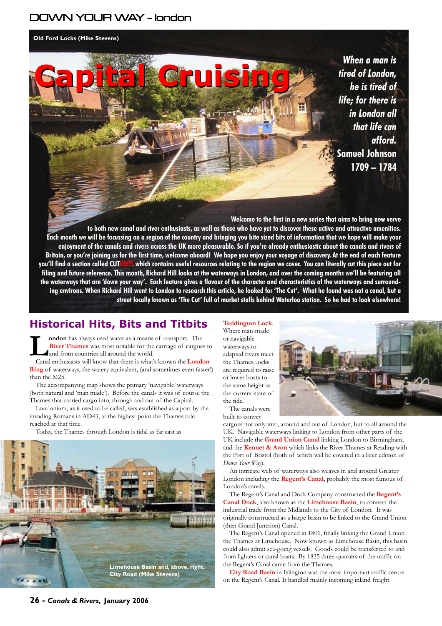# DOWN YOUR WAY - london

**Capital Cruising Capital Cruising**

**Old Ford Locks (Mike Stevens)**

*When a man is tired of London, he is tired of life; for there is in London all that life can afford.* **Samuel Johnson 1709 – 1784**

**Welcome to the first in a new series that aims to bring new verve to both new canal and river enthusiasts, as well as those who have yet to discover these active and attractive amenities. Each month we will be focussing on a region of the country and bringing you bite sized bits of information that we hope will make your enjoyment of the canals and rivers across the UK more pleasurable. So if you're already enthusiastic about the canals and rivers of Britain, or you're joining us for the first time, welcome aboard! We hope you enjoy your voyage of discovery. At the end of each feature** which contains useful resources relating to the region we cover. You can literally cut this piece out for **filing and future reference. This month, Richard Hill looks at the waterways in London, and over the coming months we'll be featuring all the waterways that are 'down your way'. Each feature gives a flavour of the character and characteristics of the waterways and surrounding environs. When Richard Hill went to London to research this article, he looked for 'The Cut'. What he found was not a canal, but a street locally known as 'The Cut' full of market stalls behind Waterloo station. So he had to look elsewhere!**

# **Historical Hits, Bits and Titbits Teddington Lock**.

**London** has always used water as a means of transport. The **River Thames** was most notable for the carriage of cargoes to and from countries all around the world.

Canal enthusiasts will know that there is what's known the **London Ring** of waterways, the watery equivalent, (and sometimes even faster!) than the M25.

The accompanying map shows the primary 'navigable' waterways (both natural and 'man made'). Before the canals it was of course the Thames that carried cargo into, through and out of the Capital.

Londonium, as it used to be called, was established as a port by the invading Romans in AD43, at the highest point the Thames tide reached at that time.

Today, the Thames through London is tidal as far east as



Where man-made or navigable waterways or adapted rivers meet the Thames, locks are required to raise or lower boats to the same height as the current state of the tide.



The canals were built to convey

cargoes not only into, around and out of London, but to all around the UK. Navigable waterways linking to London from other parts of the UK include the **Grand Union Canal** linking London to Birmingham, and the **Kennet & Avon** which links the River Thames at Reading with the Port of Bristol (both of which will be covered in a later edition of *Down Your Way*).

An intricate web of waterways also weaves in and around Greater London including the **Regent's Canal**, probably the most famous of London's canals.

The Regent's Canal and Dock Company constructed the **Regent's Canal Dock**, also known as the **Limehouse Basin**, to connect the industrial trade from the Midlands to the City of London. It was originally constructed as a barge basin to be linked to the Grand Union (then Grand Junction) Canal.

The Regent's Canal opened in 1801, finally linking the Grand Union the Thames at Limehouse. Now known as Limehouse Basin, this basin could also admit sea-going vessels. Goods could be transferred to and from lighters or canal boats. By 1835 three-quarters of the traffic on the Regent's Canal came from the Thames.

**City Road Basin** in Islington was the most important traffic centre on the Regent's Canal. It handled mainly incoming inland freight.

**26 -** *Canals & Rivers***, January 2006**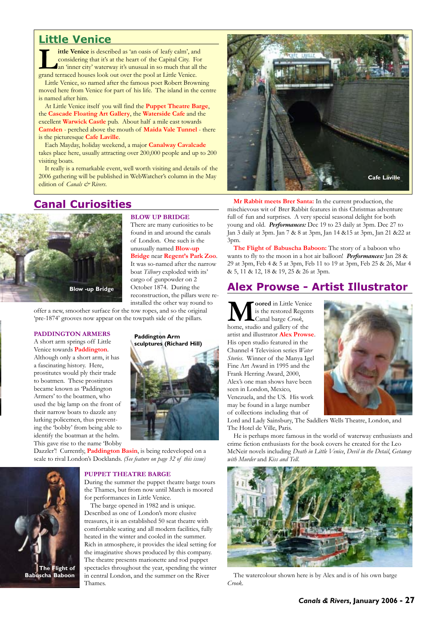## **Little Venice**

ittle Venice is described as 'an oasis of leafy calm', and considering that it's at the heart of the Capital City. For an 'inner city' waterway it's unusual in so much that all the grand terraced houses look out over the pool at Little Venice.

Little Venice, so named after the famous poet Robert Browning moved here from Venice for part of his life. The island in the centre is named after him.

At Little Venice itself you will find the **Puppet Theatre Barge**, the **Cascade Floating Art Gallery**, the **Waterside Cafe** and the excellent **Warwick Castle** pub. About half a mile east towards **Camden** - perched above the mouth of **Maida Vale Tunnel** - there is the picturesque **Cafe Laville**.

Each Mayday, holiday weekend, a major **Canalway Cavalcade** takes place here, usually attracting over 200,000 people and up to 200 visiting boats.

It really is a remarkable event, well worth visiting and details of the 2006 gathering will be published in WebWatcher's column in the May edition of *Canals & Rivers*.

# **Canal Curiosities**



**BLOW UP BRIDGE**

There are many curiosities to be found in and around the canals of London. One such is the unusually named **Blow-up Bridge** near **Regent's Park Zoo**. It was so-named after the narrow boat *Tilbury* exploded with its' cargo of gunpowder on 2 October 1874. During the reconstruction, the pillars were reinstalled the other way round to

offer a new, smoother surface for the tow ropes, and so the original 'pre-1874' grooves now appear on the towpath side of the pillars.

### **PADDINGTON ARMERS**

A short arm springs off Little Venice towards **Paddington**. Although only a short arm, it has a fascinating history. Here, prostitutes would ply their trade to boatmen. These prostitutes became known as 'Paddington Armers' to the boatmen, who used the big lamp on the front of their narrow boats to dazzle any lurking policemen, thus preventing the 'bobby' from being able to identify the boatman at the helm. This gave rise to the name 'Bobby

### **Paddington Arm sculptures (Richard Hill)**



Dazzler'! Currently, **Paddington Basin**, is being redeveloped on a scale to rival London's Docklands. *(See feature on page 32 of this issue)*



### **PUPPET THEATRE BARGE**

During the summer the puppet theatre barge tours the Thames, but from now until March is moored for performances in Little Venice.

The barge opened in 1982 and is unique. Described as one of London's more elusive treasures, it is an established 50 seat theatre with comfortable seating and all modern facilities, fully heated in the winter and cooled in the summer. Rich in atmosphere, it provides the ideal setting for the imaginative shows produced by this company. The theatre presents marionette and rod puppet spectacles throughout the year, spending the winter in central London, and the summer on the River Thames.



**Mr Rabbit meets Brer Santa:** In the current production, the mischievous wit of Brer Rabbit features in this Christmas adventure full of fun and surprises. A very special seasonal delight for both young and old. *Performances:* Dec 19 to 23 daily at 3pm. Dec 27 to Jan 3 daily at 3pm. Jan 7 & 8 at 3pm, Jan 14 &15 at 3pm, Jan 21 &22 at 3pm.

**The Flight of Babuscha Baboon:** The story of a baboon who wants to fly to the moon in a hot air balloon! *Performances:* Jan 28 & 29 at 3pm, Feb 4 & 5 at 3pm, Feb 11 to 19 at 3pm, Feb 25 & 26, Mar 4 & 5, 11 & 12, 18 & 19, 25 & 26 at 3pm.

## **Alex Prowse - Artist Illustrator**

**oored** in Little Venice is the restored Regents Canal barge *Crook*, home, studio and gallery of the artist and illustrator **Alex Prowse**. His open studio featured in the Channel 4 Television series *Water Stories*. Winner of the Manya Igel Fine Art Award in 1995 and the Frank Herring Award, 2000, Alex's one man shows have been seen in London, Mexico, Venezuela, and the US. His work may be found in a large number of collections including that of



Lord and Lady Sainsbury, The Saddlers Wells Theatre, London, and The Hotel de Ville, Paris.

He is perhaps more famous in the world of waterway enthusiasts and crime fiction enthusiasts for the book covers he created for the Leo McNeir novels including *Death in Little Venice*, *Devil in the Detail*, *Getaway with Murder* and *Kiss and Tell*.



The watercolour shown here is by Alex and is of his own barge *Crook*.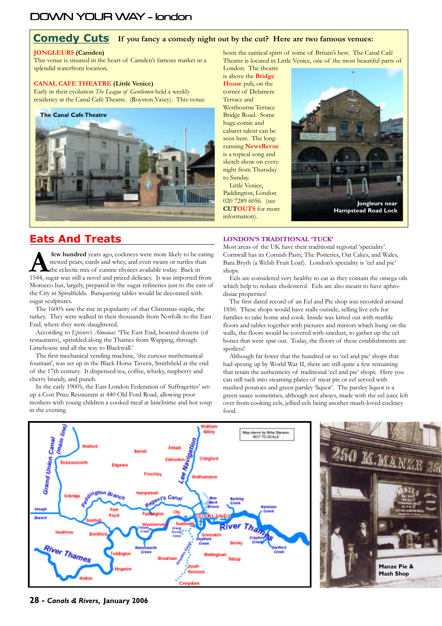# DOWN YOUR WAY - london

## Comedy Cuts If you fancy a comedy night out by the cut? Here are two famous venues:

### **JONGLEURS (Camden)**

This venue is situated in the heart of Camden's famous market in a splendid waterfront location.

### **CANAL CAFE THEATRE (Little Venice)**

Early in their evolution *The League of Gentlemen* held a weekly residency at the Canal Café Theatre. (Royston Vasey). This venue



# **Eats And Treats**

few hundred years ago, cockneys were more likely to be eating stewed pears, curds and whey, and even swans or turtles than the eclectic mix of cuisine choices available today. Back in 1544, sugar was still a novel and prized delicacy. It was imported from Morocco but, largely, prepared in the sugar refineries just to the east of the City in Spitalfields. Banqueting tables would be decorated with sugar sculptures.

The 1600's saw the rise in popularity of that Christmas staple, the turkey. They were walked in their thousands from Norfolk to the East End, where they were slaughtered.

According to *Epicure's Almanac*: 'The East End, boasted dozens (of restaurants), sprinkled along the Thames from Wapping, through Limehouse and all the way to Blackwall.'

The first mechanical vending machine, 'the curious mathematical fountain', was set up in the Black Horse Tavern, Smithfield at the end of the 17th century. It dispensed tea, coffee, whisky, raspberry and cherry brandy, and punch.

In the early 1900's, the East London Federation of Suffragettes' setup a Cost Price Restaurant at 440 Old Ford Road, allowing poor mothers with young children a cooked meal at lunchtime and hot soup in the evening.

hosts the satirical spirit of some of Britain's best. The Canal Café Theatre is located in Little Venice, one of the most beautiful parts of

London. The theatre is above the **Bridge House** pub, on the corner of Delamere Terrace and Westbourne Terrace Bridge Road. Some huge comic and cabaret talent can be seen here. The longrunning **NewsRevue** is a topical song and sketch show on every night from Thursday to Sunday.

Little Venice, Paddington, London 020 7289 6056. (see **CUTOUTS** for more information).



### **LONDON'S TRADITIONAL 'TUCK'**

Most areas of the UK have their traditional regional 'speciality'. Cornwall has its Cornish Pasty, The Potteries, Oat Cakes, and Wales, Bara Bryth (a Welsh Fruit Loaf). London's speciality is 'eel and pie' shops.

Eels are considered very healthy to eat as they contain the omega oils which help to reduce cholesterol. Eels are also meant to have aphrodisiac properties!

The first dated record of an Eel and Pie shop was recorded around 1850. These shops would have stalls outside, selling live eels for families to take home and cook. Inside was kitted out with marble floors and tables together with pictures and mirrors which hung on the walls, the floors would be covered with sawdust, to gather up the eel bones that were spat out. Today, the floors of these establishments are spotless!

Although far fewer that the hundred or so 'eel and pie' shops that had sprung up by World War II, there are still quite a few remaining that retain the authenticity of traditional 'eel and pie' shops. Here you can still tuck into steaming plates of meat pie or eel served with mashed potatoes and green parsley 'liquor'. The parsley liquor is a green sauce sometimes, although not always, made with the eel juice left over from cooking eels, jellied eels being another much-loved cockney food.





**28 -** *Canals & Rivers***, January 2006**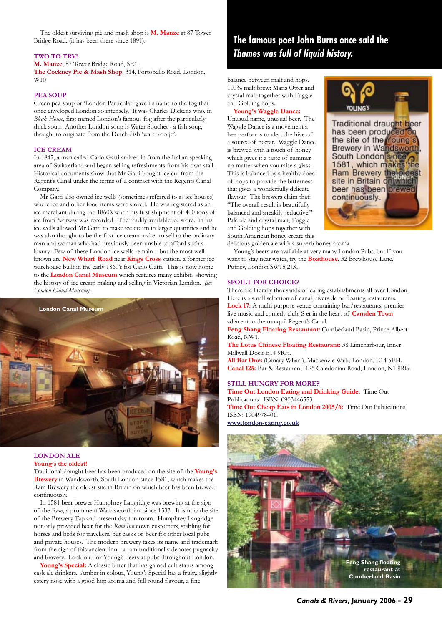The oldest surviving pie and mash shop is **M. Manze** at 87 Tower Bridge Road. (it has been there since 1891).

### **TWO TO TRY!**

**M. Manze**, 87 Tower Bridge Road, SE1.

**The Cockney Pie & Mash Shop**, 314, Portobello Road, London, W10

### **PEA SOUP**

Green pea soup or 'London Particular' gave its name to the fog that once enveloped London so intensely. It was Charles Dickens who, in *Bleak House*, first named London's famous fog after the particularly thick soup. Another London soup is Water Souchet - a fish soup, thought to originate from the Dutch dish 'waterzootje'.

### **ICE CREAM**

In 1847, a man called Carlo Gatti arrived in from the Italian speaking area of Switzerland and began selling refreshments from his own stall. Historical documents show that Mr Gatti bought ice cut from the Regent's Canal under the terms of a contract with the Regents Canal Company.

Mr Gatti also owned ice wells (sometimes referred to as ice houses) where ice and other food items were stored. He was registered as an ice merchant during the 1860's when his first shipment of 400 tons of ice from Norway was recorded. The readily available ice stored in his ice wells allowed Mr Gatti to make ice cream in larger quantities and he was also thought to be the first ice cream maker to sell to the ordinary man and woman who had previously been unable to afford such a luxury. Few of these London ice wells remain – but the most well known are **New Wharf Road** near **Kings Cross** station, a former ice warehouse built in the early 1860's for Carlo Gatti. This is now home to the **London Canal Museum** which features many exhibits showing the history of ice cream making and selling in Victorian London. *(see London Canal Museum).*



### **LONDON ALE Young's the oldest!**

Traditional draught beer has been produced on the site of the **Young's Brewery** in Wandsworth, South London since 1581, which makes the Ram Brewery the oldest site in Britain on which beer has been brewed continuously.

In 1581 beer brewer Humphrey Langridge was brewing at the sign of the *Ram*, a prominent Wandsworth inn since 1533. It is now the site of the Brewery Tap and present day tun room. Humphrey Langridge not only provided beer for the *Ram Inn's* own customers, stabling for horses and beds for travellers, but casks of beer for other local pubs and private houses. The modern brewery takes its name and trademark from the sign of this ancient inn - a ram traditionally denotes pugnacity and bravery. Look out for Young's beers at pubs throughout London.

Young's Special: A classic bitter that has gained cult status among cask ale drinkers. Amber in colour, Young's Special has a fruity, slightly estery nose with a good hop aroma and full round flavour, a fine

# **The famous poet John Burns once said the** *Thames was full of liquid history.*

balance between malt and hops. 100% malt brew: Maris Otter and crystal malt together with Fuggle and Golding hops.

### **Young's Waggle Dance:**

Unusual name, unusual beer. The Waggle Dance is a movement a bee performs to alert the hive of a source of nectar. Waggle Dance is brewed with a touch of honey which gives it a taste of summer no matter when you raise a glass. This is balanced by a healthy does of hops to provide the bitterness that gives a wonderfully delicate flavour. The brewers claim that: "The overall result is beautifully balanced and sneakily seductive." Pale ale and crystal malt, Fuggle and Golding hops together with South American honey create this



delicious golden ale with a superb honey aroma.

Young's beers are available at very many London Pubs, but if you want to stay near water, try the **Boathouse**, 32 Brewhouse Lane, Putney, London SW15 2JX.

### **SPOILT FOR CHOICE?**

There are literally thousands of eating establishments all over London. Here is a small selection of canal, riverside or floating restaurants. **Lock 17:** A multi purpose venue containing bar/restautants, premier live music and comedy club. S et in the heart of **Camden Town** adjacent to the tranquil Regent's Canal.

**Feng Shang Floating Restaurant:** Cumberland Basin, Prince Albert Road, NW1.

**The Lotus Chinese Floating Restaurant:** 38 Limeharbour, Inner Millwall Dock E14 9RH.

**All Bar One:** (Canary Wharf), Mackenzie Walk, London, E14 5EH. **Canal 125:** Bar & Restaurant. 125 Caledonian Road, London, N1 9RG.

### **STILL HUNGRY FOR MORE?**

**Time Out London Eating and Drinking Guide:** Time Out Publications. ISBN: 0903446553. **Time Out Cheap Eats in London 2005/6:** Time Out Publications. ISBN: 1904978401.

**www.london-eating.co.uk**

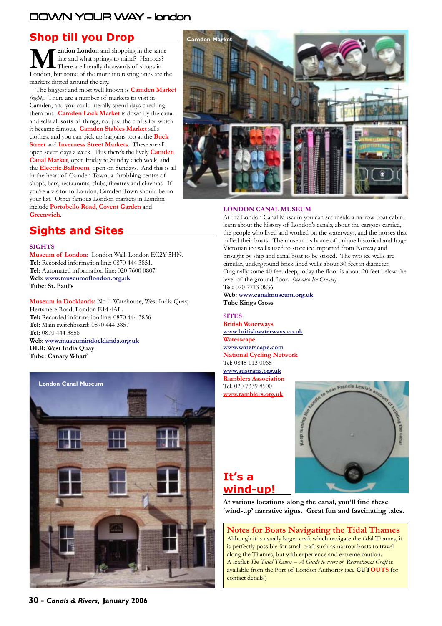# DOWN YOUR WAY - london

# **Shop till you Drop**

ention London and shopping in the same line and what springs to mind? Harrods? There are literally thousands of shops in London, but some of the more interesting ones are the markets dotted around the city.

The biggest and most well known is **Camden Market** *(right)*. There are a number of markets to visit in Camden, and you could literally spend days checking them out. **Camden Lock Market** is down by the canal and sells all sorts of things, not just the crafts for which it became famous. **Camden Stables Market** sells clothes, and you can pick up bargains too at the **Buck Street** and **Inverness Street Markets**. These are all open seven days a week. Plus there's the lively **Camden Canal Market**, open Friday to Sunday each week, and the **Electric Ballroom**, open on Sundays. And this is all in the heart of Camden Town, a throbbing centre of shops, bars, restaurants, clubs, theatres and cinemas. If you're a visitor to London, Camden Town should be on your list. Other famous London markets in London include **Portobello Road**, **Covent Garden** and **Greenwich**.



### **LONDON CANAL MUSEUM**

At the London Canal Museum you can see inside a narrow boat cabin, learn about the history of London's canals, about the cargoes carried, the people who lived and worked on the waterways, and the horses that pulled their boats. The museum is home of unique historical and huge Victorian ice wells used to store ice imported from Norway and brought by ship and canal boat to be stored. The two ice wells are circular, underground brick lined wells about 30 feet in diameter. Originally some 40 feet deep, today the floor is about 20 feet below the level of the ground floor. *(see also Ice Cream).* **Tel:** 020 7713 0836

**Web: www.canalmuseum.org.uk Tube Kings Cross**

## **SITES**

**British Waterways www.britishwaterways.co.uk Waterscape www.waterscape.com National Cycling Network** Tel: 0845 113 0065 **www.sustrans.org.uk Ramblers Association**

Tel: 020 7339 8500 **www.ramblers.org.uk**



# **It's a wind-up!**

**At various locations along the canal, you'll find these 'wind-up' narrative signs. Great fun and fascinating tales.**

**Notes for Boats Navigating the Tidal Thames** Although it is usually larger craft which navigate the tidal Thames, it is perfectly possible for small craft such as narrow boats to travel along the Thames, but with experience and extreme caution. A leaflet *The Tidal Thames – A Guide to users of Recreational Craft* is available from the Port of London Authority (see **CUTOUTS** for contact details.)

# **Sights and Sites**

### **SIGHTS**

**Museum of London:** London Wall. London EC2Y 5HN. **Tel:** Recorded information line: 0870 444 3851. **Tel:** Automated information line: 020 7600 0807. **Web: www.museumoflondon.org.uk Tube: St. Paul's**

**Museum in Docklands:** No. 1 Warehouse, West India Quay, Hertsmere Road, London E14 4AL. **Tel:** Recorded information line: 0870 444 3856 **Tel:** Main switchboard: 0870 444 3857 **Tel:** 0870 444 3858 **Web: www.museumindocklands.org.uk DLR: West India Quay Tube: Canary Wharf**



**30 -** *Canals & Rivers***, January 2006**